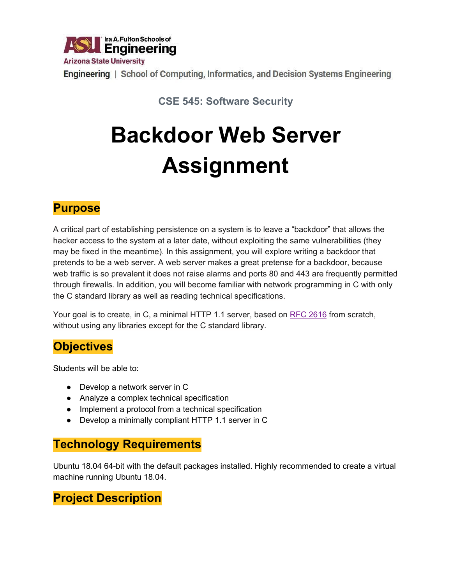

Engineering | School of Computing, Informatics, and Decision Systems Engineering

**CSE 545: Software Security**

# **Backdoor Web Server Assignment**

## **Purpose**

A critical part of establishing persistence on a system is to leave a "backdoor" that allows the hacker access to the system at a later date, without exploiting the same vulnerabilities (they may be fixed in the meantime). In this assignment, you will explore writing a backdoor that pretends to be a web server. A web server makes a great pretense for a backdoor, because web traffic is so prevalent it does not raise alarms and ports 80 and 443 are frequently permitted through firewalls. In addition, you will become familiar with network programming in C with only the C standard library as well as reading technical specifications.

Your goal is to create, in C, a minimal HTTP 1.1 server, based on RFC [2616](https://tools.ietf.org/html/rfc2616) from scratch, without using any libraries except for the C standard library.

### **Objectives**

Students will be able to:

- Develop a network server in C
- Analyze a complex technical specification
- Implement a protocol from a technical specification
- Develop a minimally compliant HTTP 1.1 server in C

### **Technology Requirements**

Ubuntu 18.04 64-bit with the default packages installed. Highly recommended to create a virtual machine running Ubuntu 18.04.

### **Project Description**